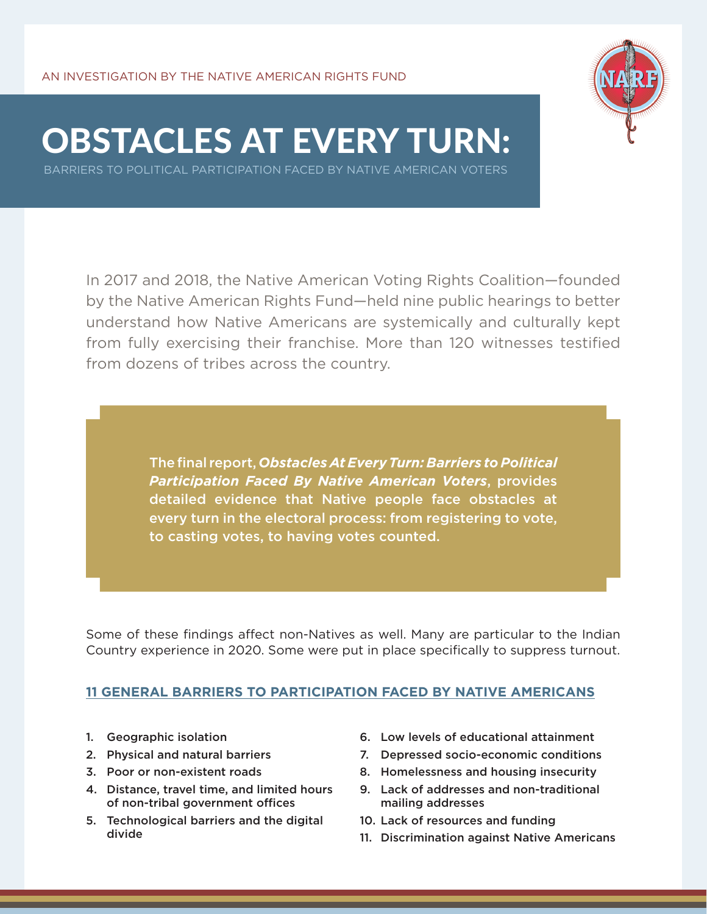

# OBSTACLES AT EVERY TURN:

BARRIERS TO POLITICAL PARTICIPATION FACED BY NATIVE AMERICAN VOTERS

In 2017 and 2018, the Native American Voting Rights Coalition—founded by the Native American Rights Fund—held nine public hearings to better understand how Native Americans are systemically and culturally kept from fully exercising their franchise. More than 120 witnesses testified from dozens of tribes across the country.

> The final report, *Obstacles At Every Turn: Barriers to Political Participation Faced By Native American Voters*, provides detailed evidence that Native people face obstacles at every turn in the electoral process: from registering to vote, to casting votes, to having votes counted.

Some of these findings affect non-Natives as well. Many are particular to the Indian Country experience in 2020. Some were put in place specifically to suppress turnout.

## **11 GENERAL BARRIERS TO PARTICIPATION FACED BY NATIVE AMERICANS**

- 1. Geographic isolation
- 2. Physical and natural barriers
- 3. Poor or non-existent roads
- 4. Distance, travel time, and limited hours of non-tribal government offices
- 5. Technological barriers and the digital divide
- 6. Low levels of educational attainment
- 7. Depressed socio-economic conditions
- 8. Homelessness and housing insecurity
- 9. Lack of addresses and non-traditional mailing addresses
- 10. Lack of resources and funding
- 11. Discrimination against Native Americans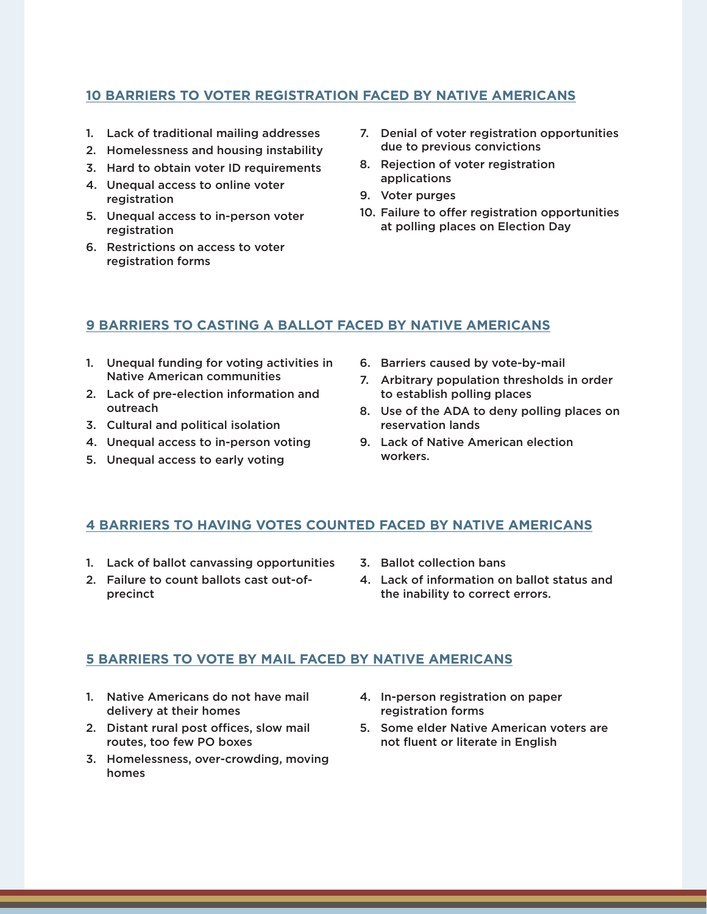## **10 BARRIERS TO VOTER REGISTRATION FACED BY NATIVE AMERICANS**

- 1. Lack of traditional mailing addresses
- 2. Homelessness and housing instability
- 3. Hard to obtain voter ID requirements
- 4. Unequal access to online voter registration
- 5. Unequal access to in-person voter registration
- 6. Restrictions on access to voter registration forms
- 7. Denial of voter registration opportunities due to previous convictions
- 8. Rejection of voter registration applications
- 9. Voter purges
- 10. Failure to offer registration opportunities at polling places on Election Day

#### **9 BARRIERS TO CASTING A BALLOT FACED BY NATIVE AMERICANS**

- 1. Unequal funding for voting activities in Native American communities
- 2. Lack of pre-election information and outreach
- 3. Cultural and political isolation
- 4. Unequal access to in-person voting
- 5. Unequal access to early voting
- 6. Barriers caused by vote-by-mail
- 7. Arbitrary population thresholds in order to establish polling places
- 8. Use of the ADA to deny polling places on reservation lands
- 9. Lack of Native American election workers.

#### **4 BARRIERS TO HAVING VOTES COUNTED FACED BY NATIVE AMERICANS**

- 1. Lack of ballot canvassing opportunities
- 2. Failure to count ballots cast out-ofprecinct
- 3. Ballot collection bans
- 4. Lack of information on ballot status and the inability to correct errors.

#### **5 BARRIERS TO VOTE BY MAIL FACED BY NATIVE AMERICANS**

- 1. Native Americans do not have mail delivery at their homes
- 2. Distant rural post offices, slow mail routes, too few PO boxes
- 3. Homelessness, over-crowding, moving homes
- 4. In-person registration on paper registration forms
- 5. Some elder Native American voters are not fluent or literate in English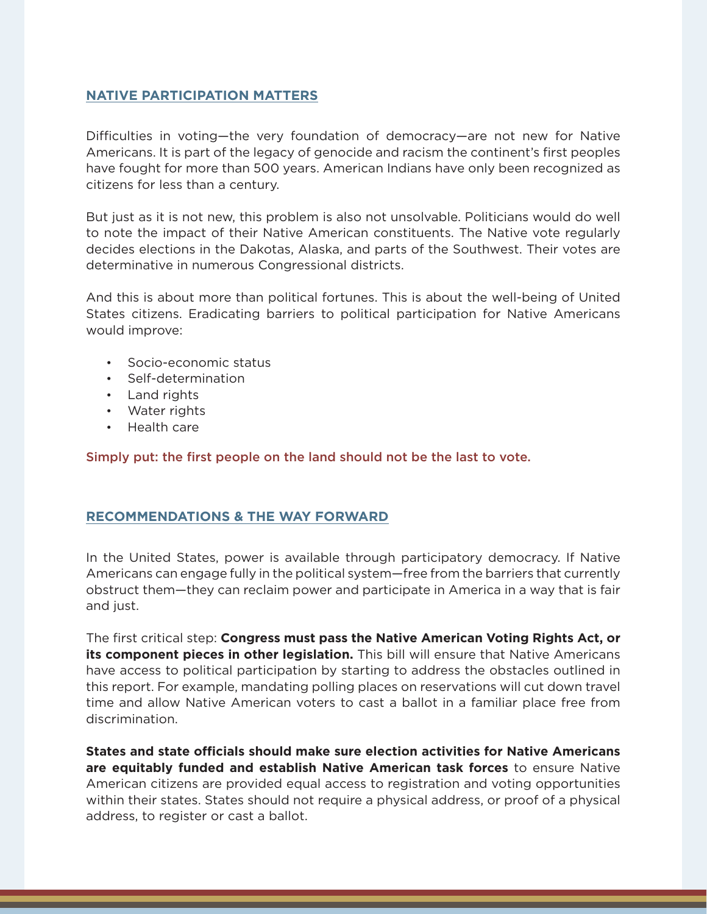### **NATIVE PARTICIPATION MATTERS**

Difficulties in voting—the very foundation of democracy—are not new for Native Americans. It is part of the legacy of genocide and racism the continent's first peoples have fought for more than 500 years. American Indians have only been recognized as citizens for less than a century.

But just as it is not new, this problem is also not unsolvable. Politicians would do well to note the impact of their Native American constituents. The Native vote regularly decides elections in the Dakotas, Alaska, and parts of the Southwest. Their votes are determinative in numerous Congressional districts.

And this is about more than political fortunes. This is about the well-being of United States citizens. Eradicating barriers to political participation for Native Americans would improve:

- Socio-economic status
- Self-determination
- Land rights
- Water rights
- Health care

Simply put: the first people on the land should not be the last to vote.

## **RECOMMENDATIONS & THE WAY FORWARD**

In the United States, power is available through participatory democracy. If Native Americans can engage fully in the political system—free from the barriers that currently obstruct them—they can reclaim power and participate in America in a way that is fair and just.

The first critical step: **Congress must pass the Native American Voting Rights Act, or its component pieces in other legislation.** This bill will ensure that Native Americans have access to political participation by starting to address the obstacles outlined in this report. For example, mandating polling places on reservations will cut down travel time and allow Native American voters to cast a ballot in a familiar place free from discrimination.

**States and state officials should make sure election activities for Native Americans are equitably funded and establish Native American task forces** to ensure Native American citizens are provided equal access to registration and voting opportunities within their states. States should not require a physical address, or proof of a physical address, to register or cast a ballot.